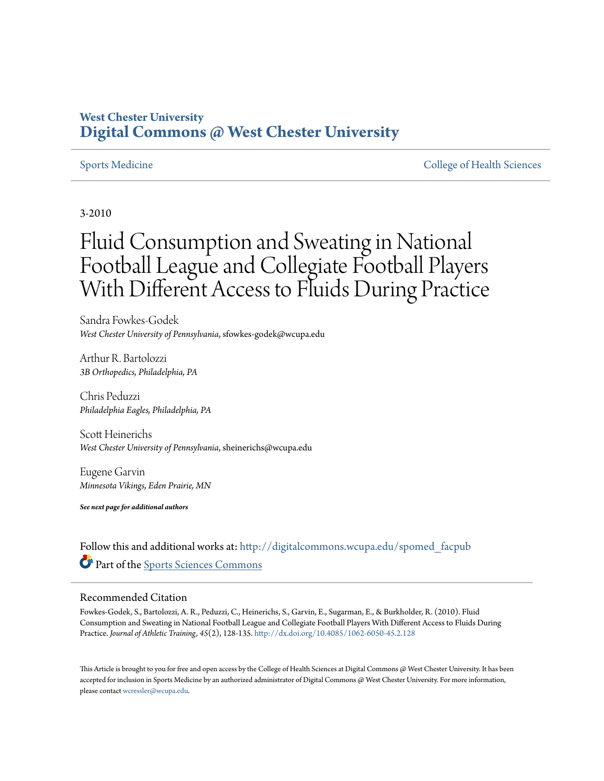### **West Chester University [Digital Commons @ West Chester University](http://digitalcommons.wcupa.edu?utm_source=digitalcommons.wcupa.edu%2Fspomed_facpub%2F8&utm_medium=PDF&utm_campaign=PDFCoverPages)**

[Sports Medicine](http://digitalcommons.wcupa.edu/spomed_facpub?utm_source=digitalcommons.wcupa.edu%2Fspomed_facpub%2F8&utm_medium=PDF&utm_campaign=PDFCoverPages) [College of Health Sciences](http://digitalcommons.wcupa.edu/chs?utm_source=digitalcommons.wcupa.edu%2Fspomed_facpub%2F8&utm_medium=PDF&utm_campaign=PDFCoverPages)

### 3-2010

# Fluid Consumption and Sweating in National Football League and Collegiate Football Players With Different Access to Fluids During Practice

Sandra Fowkes-Godek *West Chester University of Pennsylvania*, sfowkes-godek@wcupa.edu

Arthur R. Bartolozzi *3B Orthopedics, Philadelphia, PA*

Chris Peduzzi *Philadelphia Eagles, Philadelphia, PA*

Scott Heinerichs *West Chester University of Pennsylvania*, sheinerichs@wcupa.edu

Eugene Garvin *Minnesota Vikings, Eden Prairie, MN*

*See next page for additional authors*

Follow this and additional works at: [http://digitalcommons.wcupa.edu/spomed\\_facpub](http://digitalcommons.wcupa.edu/spomed_facpub?utm_source=digitalcommons.wcupa.edu%2Fspomed_facpub%2F8&utm_medium=PDF&utm_campaign=PDFCoverPages) Part of the [Sports Sciences Commons](http://network.bepress.com/hgg/discipline/759?utm_source=digitalcommons.wcupa.edu%2Fspomed_facpub%2F8&utm_medium=PDF&utm_campaign=PDFCoverPages)

#### Recommended Citation

Fowkes-Godek, S., Bartolozzi, A. R., Peduzzi, C., Heinerichs, S., Garvin, E., Sugarman, E., & Burkholder, R. (2010). Fluid Consumption and Sweating in National Football League and Collegiate Football Players With Different Access to Fluids During Practice. *Journal of Athletic Training, 45*(2), 128-135. <http://dx.doi.org/10.4085/1062-6050-45.2.128>

This Article is brought to you for free and open access by the College of Health Sciences at Digital Commons @ West Chester University. It has been accepted for inclusion in Sports Medicine by an authorized administrator of Digital Commons @ West Chester University. For more information, please contact [wcressler@wcupa.edu.](mailto:wcressler@wcupa.edu)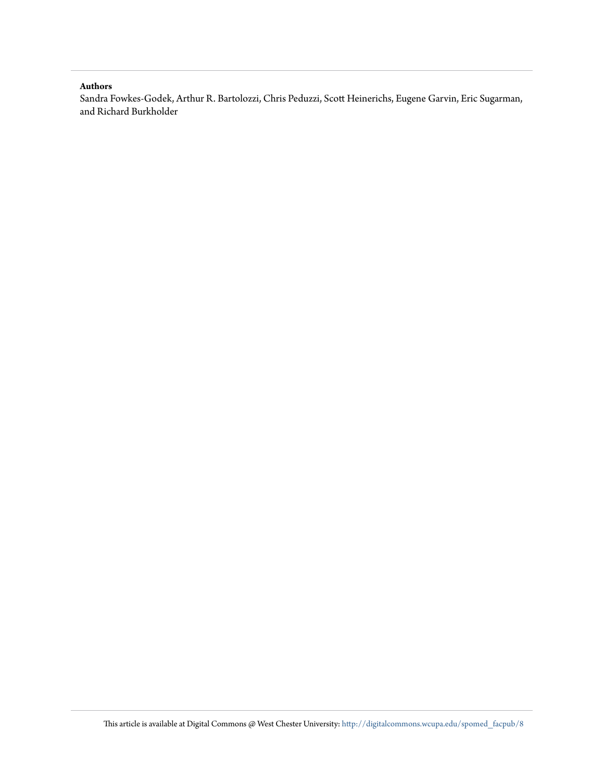#### **Authors**

Sandra Fowkes-Godek, Arthur R. Bartolozzi, Chris Peduzzi, Scott Heinerichs, Eugene Garvin, Eric Sugarman, and Richard Burkholder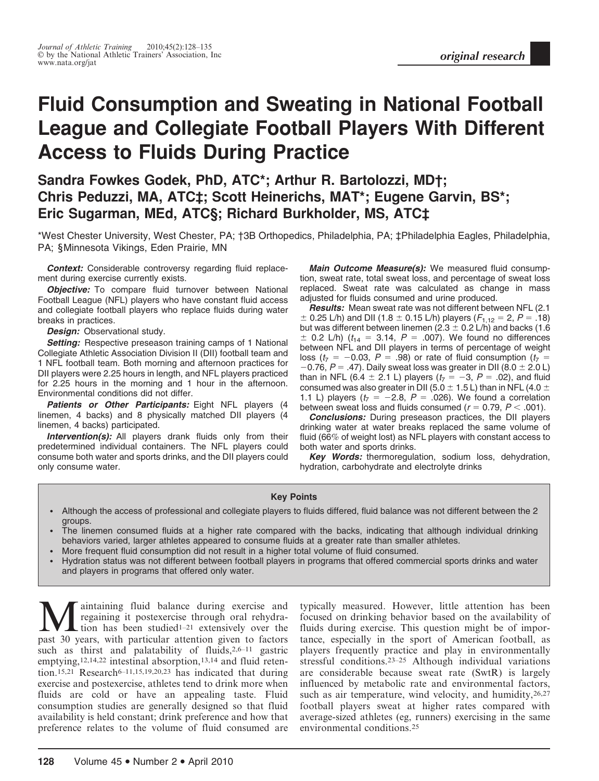## Fluid Consumption and Sweating in National Football League and Collegiate Football Players With Different Access to Fluids During Practice

Sandra Fowkes Godek, PhD, ATC\*; Arthur R. Bartolozzi, MD†; Chris Peduzzi, MA, ATC‡; Scott Heinerichs, MAT\*; Eugene Garvin, BS\*; Eric Sugarman, MEd, ATC§; Richard Burkholder, MS, ATC‡

\*West Chester University, West Chester, PA; †3B Orthopedics, Philadelphia, PA; ‡Philadelphia Eagles, Philadelphia, PA; §Minnesota Vikings, Eden Prairie, MN

**Context:** Considerable controversy regarding fluid replacement during exercise currently exists.

Objective: To compare fluid turnover between National Football League (NFL) players who have constant fluid access and collegiate football players who replace fluids during water breaks in practices.

Design: Observational study.

**Setting:** Respective preseason training camps of 1 National Collegiate Athletic Association Division II (DII) football team and 1 NFL football team. Both morning and afternoon practices for DII players were 2.25 hours in length, and NFL players practiced for 2.25 hours in the morning and 1 hour in the afternoon. Environmental conditions did not differ.

Patients or Other Participants: Eight NFL players (4 linemen, 4 backs) and 8 physically matched DII players (4 linemen, 4 backs) participated.

**Intervention(s):** All players drank fluids only from their predetermined individual containers. The NFL players could consume both water and sports drinks, and the DII players could only consume water.

Main Outcome Measure(s): We measured fluid consumption, sweat rate, total sweat loss, and percentage of sweat loss replaced. Sweat rate was calculated as change in mass adjusted for fluids consumed and urine produced.

Results: Mean sweat rate was not different between NFL (2.1)  $\pm$  0.25 L/h) and DII (1.8  $\pm$  0.15 L/h) players ( $F_{1,12} = 2$ , P = .18) but was different between linemen (2.3  $\pm$  0.2 L/h) and backs (1.6  $\pm$  0.2 L/h) ( $t_{14}$  = 3.14, P = .007). We found no differences between NFL and DII players in terms of percentage of weight loss ( $t_7$  = -0.03, P = .98) or rate of fluid consumption ( $t_7$  =  $-0.76$ ,  $P = .47$ ). Daily sweat loss was greater in DII (8.0  $\pm$  2.0 L) than in NFL (6.4  $\pm$  2.1 L) players ( $t_7 = -3$ , P = .02), and fluid consumed was also greater in DII (5.0  $\pm$  1.5 L) than in NFL (4.0  $\pm$ 1.1 L) players  $(t_7 = -2.8, P = .026)$ . We found a correlation between sweat loss and fluids consumed ( $r = 0.79$ ,  $P < .001$ ).

**Conclusions:** During preseason practices, the DII players drinking water at water breaks replaced the same volume of fluid (66% of weight lost) as NFL players with constant access to both water and sports drinks.

Key Words: thermoregulation, sodium loss, dehydration, hydration, carbohydrate and electrolyte drinks

#### Key Points

- Although the access of professional and collegiate players to fluids differed, fluid balance was not different between the 2 groups.
- The linemen consumed fluids at a higher rate compared with the backs, indicating that although individual drinking behaviors varied, larger athletes appeared to consume fluids at a greater rate than smaller athletes.
- More frequent fluid consumption did not result in a higher total volume of fluid consumed.
- Hydration status was not different between football players in programs that offered commercial sports drinks and water and players in programs that offered only water.

**M** aintaining fluid balance during exercise and regaining it postexercise through oral rehydration has been studied<sup>1–21</sup> extensively over the past 30 years with particular attention given to factors regaining it postexercise through oral rehydrapast 30 years, with particular attention given to factors such as thirst and palatability of fluids, $2,6-11$  gastric emptying,12,14,22 intestinal absorption,13,14 and fluid retention.<sup>15,21</sup> Research<sup>6–11,15,19,20,23</sup> has indicated that during exercise and postexercise, athletes tend to drink more when fluids are cold or have an appealing taste. Fluid consumption studies are generally designed so that fluid availability is held constant; drink preference and how that preference relates to the volume of fluid consumed are

typically measured. However, little attention has been focused on drinking behavior based on the availability of fluids during exercise. This question might be of importance, especially in the sport of American football, as players frequently practice and play in environmentally stressful conditions.23–25 Although individual variations are considerable because sweat rate (SwtR) is largely influenced by metabolic rate and environmental factors, such as air temperature, wind velocity, and humidity, 26,27 football players sweat at higher rates compared with average-sized athletes (eg, runners) exercising in the same environmental conditions.25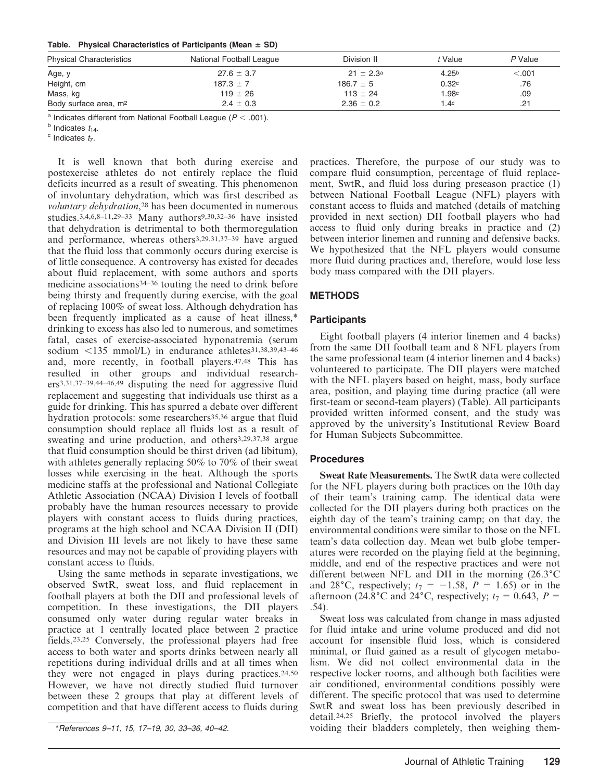|  |  | Table. Physical Characteristics of Participants (Mean $\pm$ SD) |  |  |  |  |  |  |
|--|--|-----------------------------------------------------------------|--|--|--|--|--|--|
|--|--|-----------------------------------------------------------------|--|--|--|--|--|--|

| <b>Physical Characteristics</b>   | National Football League | Division II          | t Value           | P Value |
|-----------------------------------|--------------------------|----------------------|-------------------|---------|
| Age, y                            | $27.6 \pm 3.7$           | $21 \pm 2.3^{\circ}$ | 4.25 <sup>b</sup> | < 0.001 |
| Height, cm                        | $187.3 \pm 7$            | $186.7 \pm 5$        | 0.32c             | .76     |
| Mass, kg                          | $119 \pm 26$             | $113 \pm 24$         | 1.98 <sup>c</sup> | .09     |
| Body surface area, m <sup>2</sup> | $2.4 \pm 0.3$            | $2.36 \pm 0.2$       | 1.4c              | .21     |

<sup>a</sup> Indicates different from National Football League ( $P < .001$ ).<br><sup>b</sup> Indicates  $t_{14}$ .<br><sup>c</sup> Indicates  $t_7$ .

It is well known that both during exercise and postexercise athletes do not entirely replace the fluid deficits incurred as a result of sweating. This phenomenon of involuntary dehydration, which was first described as voluntary dehydration,<sup>28</sup> has been documented in numerous studies.3,4,6,8–11,29–33 Many authors9,30,32–36 have insisted that dehydration is detrimental to both thermoregulation and performance, whereas others3,29,31,37–39 have argued that the fluid loss that commonly occurs during exercise is of little consequence. A controversy has existed for decades about fluid replacement, with some authors and sports medicine associations34–36 touting the need to drink before being thirsty and frequently during exercise, with the goal of replacing 100% of sweat loss. Although dehydration has been frequently implicated as a cause of heat illness,\* drinking to excess has also led to numerous, and sometimes fatal, cases of exercise-associated hyponatremia (serum sodium <135 mmol/L) in endurance athletes31,38,39,43-46 and, more recently, in football players.47,48 This has resulted in other groups and individual researchers3,31,37–39,44–46,49 disputing the need for aggressive fluid replacement and suggesting that individuals use thirst as a guide for drinking. This has spurred a debate over different hydration protocols: some researchers35,36 argue that fluid consumption should replace all fluids lost as a result of sweating and urine production, and others<sup>3,29,37,38</sup> argue that fluid consumption should be thirst driven (ad libitum), with athletes generally replacing 50% to 70% of their sweat losses while exercising in the heat. Although the sports medicine staffs at the professional and National Collegiate Athletic Association (NCAA) Division I levels of football probably have the human resources necessary to provide players with constant access to fluids during practices, programs at the high school and NCAA Division II (DII) and Division III levels are not likely to have these same resources and may not be capable of providing players with constant access to fluids.

Using the same methods in separate investigations, we observed SwtR, sweat loss, and fluid replacement in football players at both the DII and professional levels of competition. In these investigations, the DII players consumed only water during regular water breaks in practice at 1 centrally located place between 2 practice fields.23,25 Conversely, the professional players had free access to both water and sports drinks between nearly all repetitions during individual drills and at all times when they were not engaged in plays during practices.24,50 However, we have not directly studied fluid turnover between these 2 groups that play at different levels of competition and that have different access to fluids during

practices. Therefore, the purpose of our study was to compare fluid consumption, percentage of fluid replacement, SwtR, and fluid loss during preseason practice (1) between National Football League (NFL) players with constant access to fluids and matched (details of matching provided in next section) DII football players who had access to fluid only during breaks in practice and (2) between interior linemen and running and defensive backs. We hypothesized that the NFL players would consume more fluid during practices and, therefore, would lose less body mass compared with the DII players.

#### METHODS

#### **Participants**

Eight football players (4 interior linemen and 4 backs) from the same DII football team and 8 NFL players from the same professional team (4 interior linemen and 4 backs) volunteered to participate. The DII players were matched with the NFL players based on height, mass, body surface area, position, and playing time during practice (all were first-team or second-team players) (Table). All participants provided written informed consent, and the study was approved by the university's Institutional Review Board for Human Subjects Subcommittee.

#### Procedures

Sweat Rate Measurements. The SwtR data were collected for the NFL players during both practices on the 10th day of their team's training camp. The identical data were collected for the DII players during both practices on the eighth day of the team's training camp; on that day, the environmental conditions were similar to those on the NFL team's data collection day. Mean wet bulb globe temperatures were recorded on the playing field at the beginning, middle, and end of the respective practices and were not different between NFL and DII in the morning  $(26.3^{\circ}$ C and 28<sup>°</sup>C, respectively;  $t_7 = -1.58$ ,  $P = 1.65$ ) or in the afternoon (24.8°C and 24°C, respectively;  $t_7 = 0.643$ ,  $P =$ .54).

Sweat loss was calculated from change in mass adjusted for fluid intake and urine volume produced and did not account for insensible fluid loss, which is considered minimal, or fluid gained as a result of glycogen metabolism. We did not collect environmental data in the respective locker rooms, and although both facilities were air conditioned, environmental conditions possibly were different. The specific protocol that was used to determine SwtR and sweat loss has been previously described in detail.24,25 Briefly, the protocol involved the players \*References 9–11, 15, 17–19, 30, 33–36, 40–42. voiding their bladders completely, then weighing them-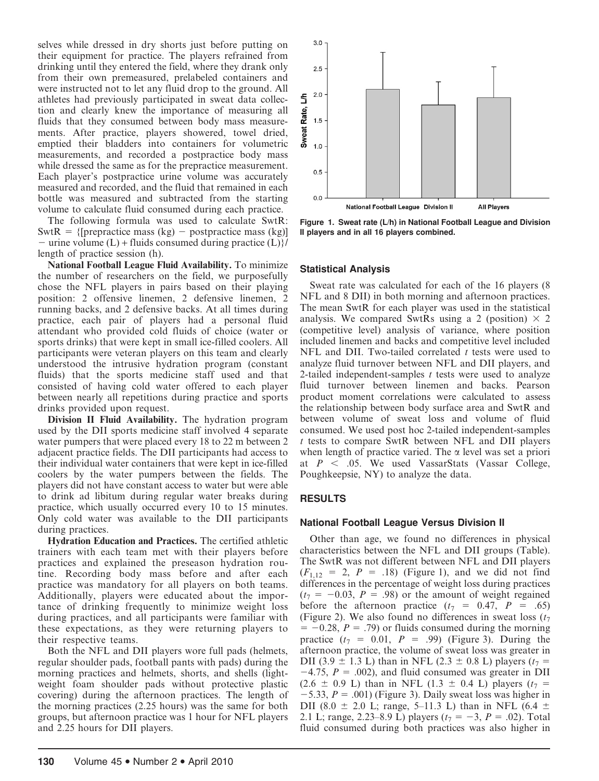selves while dressed in dry shorts just before putting on their equipment for practice. The players refrained from drinking until they entered the field, where they drank only from their own premeasured, prelabeled containers and were instructed not to let any fluid drop to the ground. All athletes had previously participated in sweat data collection and clearly knew the importance of measuring all fluids that they consumed between body mass measurements. After practice, players showered, towel dried, emptied their bladders into containers for volumetric measurements, and recorded a postpractice body mass while dressed the same as for the prepractice measurement. Each player's postpractice urine volume was accurately measured and recorded, and the fluid that remained in each bottle was measured and subtracted from the starting volume to calculate fluid consumed during each practice.

The following formula was used to calculate SwtR: SwtR = {[prepractice mass (kg) – postpractice mass (kg)] - urine volume  $(L)$  + fluids consumed during practice  $(L)$ }/ length of practice session (h).

National Football League Fluid Availability. To minimize the number of researchers on the field, we purposefully chose the NFL players in pairs based on their playing position: 2 offensive linemen, 2 defensive linemen, 2 running backs, and 2 defensive backs. At all times during practice, each pair of players had a personal fluid attendant who provided cold fluids of choice (water or sports drinks) that were kept in small ice-filled coolers. All participants were veteran players on this team and clearly understood the intrusive hydration program (constant fluids) that the sports medicine staff used and that consisted of having cold water offered to each player between nearly all repetitions during practice and sports drinks provided upon request.

Division II Fluid Availability. The hydration program used by the DII sports medicine staff involved 4 separate water pumpers that were placed every 18 to 22 m between 2 adjacent practice fields. The DII participants had access to their individual water containers that were kept in ice-filled coolers by the water pumpers between the fields. The players did not have constant access to water but were able to drink ad libitum during regular water breaks during practice, which usually occurred every 10 to 15 minutes. Only cold water was available to the DII participants during practices.

Hydration Education and Practices. The certified athletic trainers with each team met with their players before practices and explained the preseason hydration routine. Recording body mass before and after each practice was mandatory for all players on both teams. Additionally, players were educated about the importance of drinking frequently to minimize weight loss during practices, and all participants were familiar with these expectations, as they were returning players to their respective teams.

Both the NFL and DII players wore full pads (helmets, regular shoulder pads, football pants with pads) during the morning practices and helmets, shorts, and shells (lightweight foam shoulder pads without protective plastic covering) during the afternoon practices. The length of the morning practices (2.25 hours) was the same for both groups, but afternoon practice was 1 hour for NFL players and 2.25 hours for DII players.



Figure 1. Sweat rate (L/h) in National Football League and Division II players and in all 16 players combined.

#### Statistical Analysis

Sweat rate was calculated for each of the 16 players (8 NFL and 8 DII) in both morning and afternoon practices. The mean SwtR for each player was used in the statistical analysis. We compared SwtRs using a 2 (position)  $\times$  2 (competitive level) analysis of variance, where position included linemen and backs and competitive level included NFL and DII. Two-tailed correlated  $t$  tests were used to analyze fluid turnover between NFL and DII players, and 2-tailed independent-samples  $t$  tests were used to analyze fluid turnover between linemen and backs. Pearson product moment correlations were calculated to assess the relationship between body surface area and SwtR and between volume of sweat loss and volume of fluid consumed. We used post hoc 2-tailed independent-samples t tests to compare SwtR between NFL and DII players when length of practice varied. The  $\alpha$  level was set a priori at  $P \, \leq \, .05$ . We used VassarStats (Vassar College, Poughkeepsie, NY) to analyze the data.

#### RESULTS

#### National Football League Versus Division II

Other than age, we found no differences in physical characteristics between the NFL and DII groups (Table). The SwtR was not different between NFL and DII players  $(F_{1,12} = 2, P = .18)$  (Figure 1), and we did not find differences in the percentage of weight loss during practices  $(t_7 = -0.03, P = .98)$  or the amount of weight regained before the afternoon practice  $(t_7 = 0.47, P = .65)$ (Figure 2). We also found no differences in sweat loss  $(t_7)$  $= -0.28$ ,  $P = .79$ ) or fluids consumed during the morning practice  $(t_7 = 0.01, P = .99)$  (Figure 3). During the afternoon practice, the volume of sweat loss was greater in DII (3.9  $\pm$  1.3 L) than in NFL (2.3  $\pm$  0.8 L) players ( $t_7$  =  $-4.75$ ,  $P = .002$ ), and fluid consumed was greater in DII  $(2.6 \pm 0.9 \text{ L})$  than in NFL  $(1.3 \pm 0.4 \text{ L})$  players  $(t_7 =$  $-5.33$ ,  $P = .001$ ) (Figure 3). Daily sweat loss was higher in DII (8.0  $\pm$  2.0 L; range, 5–11.3 L) than in NFL (6.4  $\pm$ 2.1 L; range, 2.23–8.9 L) players  $(t_7 = -3, P = .02)$ . Total fluid consumed during both practices was also higher in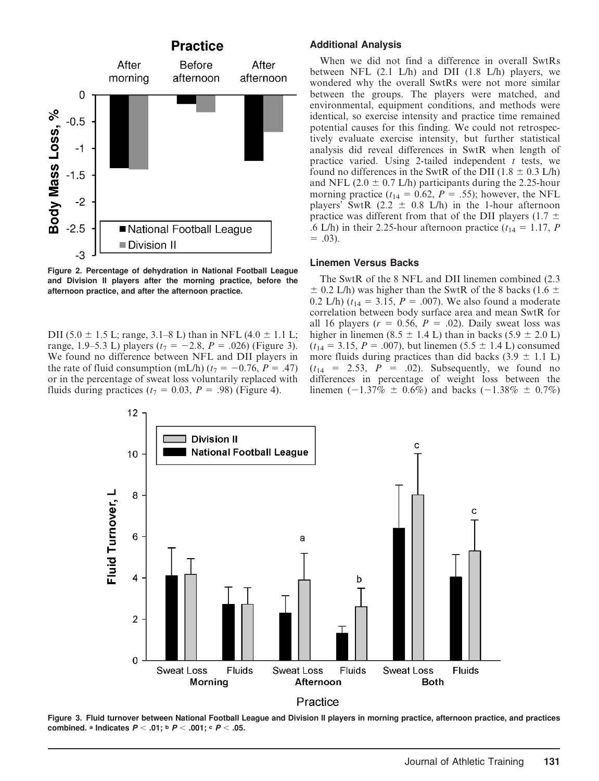

Figure 2. Percentage of dehydration in National Football League and Division II players after the morning practice, before the afternoon practice, and after the afternoon practice.

DII (5.0  $\pm$  1.5 L; range, 3.1–8 L) than in NFL (4.0  $\pm$  1.1 L; range, 1.9–5.3 L) players  $(t_7 = -2.8, P = .026)$  (Figure 3). We found no difference between NFL and DII players in the rate of fluid consumption (mL/h) ( $t_7 = -0.76$ ,  $P = .47$ ) or in the percentage of sweat loss voluntarily replaced with fluids during practices ( $t_7 = 0.03$ ,  $P = .98$ ) (Figure 4).

#### Additional Analysis

When we did not find a difference in overall SwtRs between NFL  $(2.1 \text{ L/h})$  and DII  $(1.8 \text{ L/h})$  players, we wondered why the overall SwtRs were not more similar between the groups. The players were matched, and environmental, equipment conditions, and methods were identical, so exercise intensity and practice time remained potential causes for this finding. We could not retrospectively evaluate exercise intensity, but further statistical analysis did reveal differences in SwtR when length of practice varied. Using 2-tailed independent  $t$  tests, we found no differences in the SwtR of the DII (1.8  $\pm$  0.3 L/h) and NFL (2.0  $\pm$  0.7 L/h) participants during the 2.25-hour morning practice ( $t_{14} = 0.62$ ,  $P = .55$ ); however, the NFL players' SwtR  $(2.2 \pm 0.8 \text{ L/h})$  in the 1-hour afternoon practice was different from that of the DII players (1.7  $\pm$ .6 L/h) in their 2.25-hour afternoon practice ( $t_{14} = 1.17$ , P  $= .03$ ).

#### Linemen Versus Backs

The SwtR of the 8 NFL and DII linemen combined (2.3  $\pm$  0.2 L/h) was higher than the SwtR of the 8 backs (1.6  $\pm$ 0.2 L/h) ( $t_{14} = 3.15$ ,  $P = .007$ ). We also found a moderate correlation between body surface area and mean SwtR for all 16 players ( $r = 0.56$ ,  $P = .02$ ). Daily sweat loss was higher in linemen (8.5  $\pm$  1.4 L) than in backs (5.9  $\pm$  2.0 L)  $(t_{14} = 3.15, P = .007)$ , but linemen  $(5.5 \pm 1.4 \text{ L})$  consumed more fluids during practices than did backs  $(3.9 \pm 1.1 \text{ L})$  $(t_{14}$  = 2.53, P = .02). Subsequently, we found no differences in percentage of weight loss between the linemen  $(-1.37\% \pm 0.6\%)$  and backs  $(-1.38\% \pm 0.7\%)$ 



Figure 3. Fluid turnover between National Football League and Division II players in morning practice, afternoon practice, and practices combined. a Indicates  $P < .01$ ; b  $P < .001$ ; c  $P < .05$ .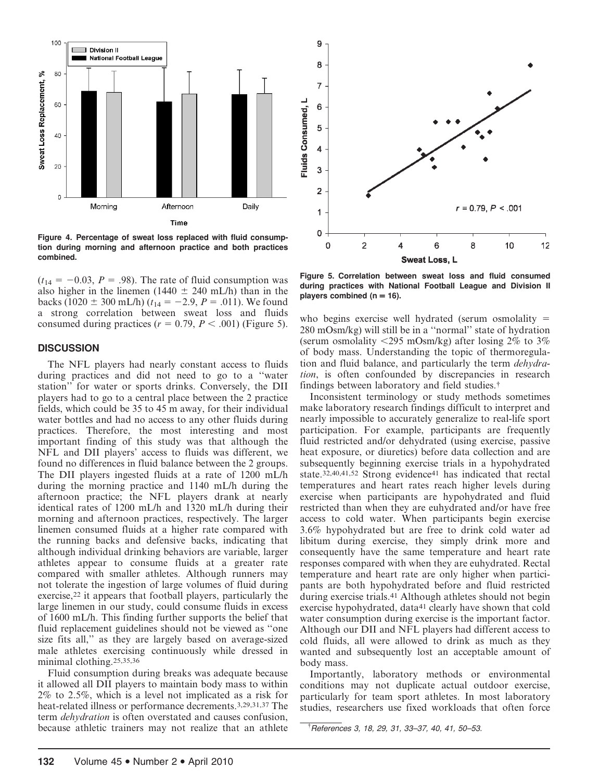

Figure 4. Percentage of sweat loss replaced with fluid consumption during morning and afternoon practice and both practices combined.

 $(t_{14} = -0.03, P = .98)$ . The rate of fluid consumption was also higher in the linemen (1440  $\pm$  240 mL/h) than in the backs (1020  $\pm$  300 mL/h) ( $t_{14}$  = -2.9, P = .011). We found a strong correlation between sweat loss and fluids consumed during practices ( $r = 0.79$ ,  $P < .001$ ) (Figure 5).

#### **DISCUSSION**

The NFL players had nearly constant access to fluids during practices and did not need to go to a ''water station'' for water or sports drinks. Conversely, the DII players had to go to a central place between the 2 practice fields, which could be 35 to 45 m away, for their individual water bottles and had no access to any other fluids during practices. Therefore, the most interesting and most important finding of this study was that although the NFL and DII players' access to fluids was different, we found no differences in fluid balance between the 2 groups. The DII players ingested fluids at a rate of 1200 mL/h during the morning practice and 1140 mL/h during the afternoon practice; the NFL players drank at nearly identical rates of 1200 mL/h and 1320 mL/h during their morning and afternoon practices, respectively. The larger linemen consumed fluids at a higher rate compared with the running backs and defensive backs, indicating that although individual drinking behaviors are variable, larger athletes appear to consume fluids at a greater rate compared with smaller athletes. Although runners may not tolerate the ingestion of large volumes of fluid during exercise,22 it appears that football players, particularly the large linemen in our study, could consume fluids in excess of 1600 mL/h. This finding further supports the belief that fluid replacement guidelines should not be viewed as ''one size fits all,'' as they are largely based on average-sized male athletes exercising continuously while dressed in minimal clothing.25,35,36

Fluid consumption during breaks was adequate because it allowed all DII players to maintain body mass to within 2% to 2.5%, which is a level not implicated as a risk for heat-related illness or performance decrements.3,29,31,37 The term *dehydration* is often overstated and causes confusion, because athletic trainers may not realize that an athlete



Figure 5. Correlation between sweat loss and fluid consumed during practices with National Football League and Division II players combined ( $n = 16$ ).

who begins exercise well hydrated (serum osmolality  $=$ 280 mOsm/kg) will still be in a ''normal'' state of hydration (serum osmolality  $\langle 295 \text{ mOsm/kg} \rangle$  after losing 2% to 3% of body mass. Understanding the topic of thermoregulation and fluid balance, and particularly the term dehydration, is often confounded by discrepancies in research findings between laboratory and field studies.<sup>†</sup>

Inconsistent terminology or study methods sometimes make laboratory research findings difficult to interpret and nearly impossible to accurately generalize to real-life sport participation. For example, participants are frequently fluid restricted and/or dehydrated (using exercise, passive heat exposure, or diuretics) before data collection and are subsequently beginning exercise trials in a hypohydrated state.32,40,41,52 Strong evidence41 has indicated that rectal temperatures and heart rates reach higher levels during exercise when participants are hypohydrated and fluid restricted than when they are euhydrated and/or have free access to cold water. When participants begin exercise 3.6% hypohydrated but are free to drink cold water ad libitum during exercise, they simply drink more and consequently have the same temperature and heart rate responses compared with when they are euhydrated. Rectal temperature and heart rate are only higher when participants are both hypohydrated before and fluid restricted during exercise trials.41 Although athletes should not begin exercise hypohydrated, data<sup>41</sup> clearly have shown that cold water consumption during exercise is the important factor. Although our DII and NFL players had different access to cold fluids, all were allowed to drink as much as they wanted and subsequently lost an acceptable amount of body mass.

Importantly, laboratory methods or environmental conditions may not duplicate actual outdoor exercise, particularly for team sport athletes. In most laboratory studies, researchers use fixed workloads that often force

{ References 3, 18, 29, 31, 33–37, 40, 41, 50–53.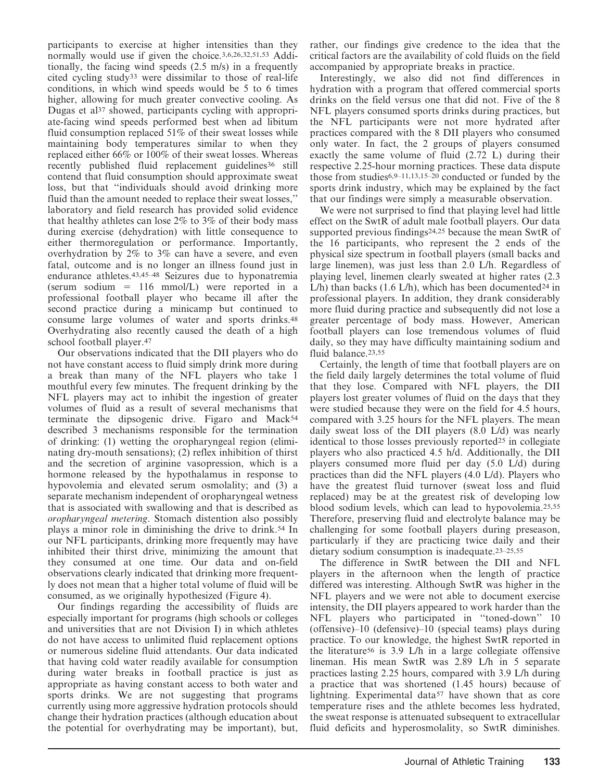participants to exercise at higher intensities than they normally would use if given the choice.3,6,26,32,51,53 Additionally, the facing wind speeds (2.5 m/s) in a frequently cited cycling study33 were dissimilar to those of real-life conditions, in which wind speeds would be 5 to 6 times higher, allowing for much greater convective cooling. As Dugas et al<sup>37</sup> showed, participants cycling with appropriate-facing wind speeds performed best when ad libitum fluid consumption replaced 51% of their sweat losses while maintaining body temperatures similar to when they replaced either 66% or 100% of their sweat losses. Whereas recently published fluid replacement guidelines<sup>36</sup> still contend that fluid consumption should approximate sweat loss, but that ''individuals should avoid drinking more fluid than the amount needed to replace their sweat losses,'' laboratory and field research has provided solid evidence that healthy athletes can lose 2% to 3% of their body mass during exercise (dehydration) with little consequence to either thermoregulation or performance. Importantly, overhydration by 2% to 3% can have a severe, and even fatal, outcome and is no longer an illness found just in endurance athletes.43,45–48 Seizures due to hyponatremia (serum sodium  $= 116$  mmol/L) were reported in a professional football player who became ill after the second practice during a minicamp but continued to consume large volumes of water and sports drinks.48 Overhydrating also recently caused the death of a high school football player.47

Our observations indicated that the DII players who do not have constant access to fluid simply drink more during a break than many of the NFL players who take 1 mouthful every few minutes. The frequent drinking by the NFL players may act to inhibit the ingestion of greater volumes of fluid as a result of several mechanisms that terminate the dipsogenic drive. Figaro and Mack54 described 3 mechanisms responsible for the termination of drinking: (1) wetting the oropharyngeal region (eliminating dry-mouth sensations); (2) reflex inhibition of thirst and the secretion of arginine vasopression, which is a hormone released by the hypothalamus in response to hypovolemia and elevated serum osmolality; and (3) a separate mechanism independent of oropharyngeal wetness that is associated with swallowing and that is described as oropharyngeal metering. Stomach distention also possibly plays a minor role in diminishing the drive to drink.54 In our NFL participants, drinking more frequently may have inhibited their thirst drive, minimizing the amount that they consumed at one time. Our data and on-field observations clearly indicated that drinking more frequently does not mean that a higher total volume of fluid will be consumed, as we originally hypothesized (Figure 4).

Our findings regarding the accessibility of fluids are especially important for programs (high schools or colleges and universities that are not Division I) in which athletes do not have access to unlimited fluid replacement options or numerous sideline fluid attendants. Our data indicated that having cold water readily available for consumption during water breaks in football practice is just as appropriate as having constant access to both water and sports drinks. We are not suggesting that programs currently using more aggressive hydration protocols should change their hydration practices (although education about the potential for overhydrating may be important), but,

rather, our findings give credence to the idea that the critical factors are the availability of cold fluids on the field accompanied by appropriate breaks in practice.

Interestingly, we also did not find differences in hydration with a program that offered commercial sports drinks on the field versus one that did not. Five of the 8 NFL players consumed sports drinks during practices, but the NFL participants were not more hydrated after practices compared with the 8 DII players who consumed only water. In fact, the 2 groups of players consumed exactly the same volume of fluid (2.72 L) during their respective 2.25-hour morning practices. These data dispute those from studies6,9–11,13,15–20 conducted or funded by the sports drink industry, which may be explained by the fact that our findings were simply a measurable observation.

We were not surprised to find that playing level had little effect on the SwtR of adult male football players. Our data supported previous findings24,25 because the mean SwtR of the 16 participants, who represent the 2 ends of the physical size spectrum in football players (small backs and large linemen), was just less than 2.0 L/h. Regardless of playing level, linemen clearly sweated at higher rates (2.3 L/h) than backs (1.6 L/h), which has been documented<sup>24</sup> in professional players. In addition, they drank considerably more fluid during practice and subsequently did not lose a greater percentage of body mass. However, American football players can lose tremendous volumes of fluid daily, so they may have difficulty maintaining sodium and fluid balance.23,55

Certainly, the length of time that football players are on the field daily largely determines the total volume of fluid that they lose. Compared with NFL players, the DII players lost greater volumes of fluid on the days that they were studied because they were on the field for 4.5 hours, compared with 3.25 hours for the NFL players. The mean daily sweat loss of the DII players (8.0 L/d) was nearly identical to those losses previously reported25 in collegiate players who also practiced 4.5 h/d. Additionally, the DII players consumed more fluid per day (5.0 L/d) during practices than did the NFL players (4.0 L/d). Players who have the greatest fluid turnover (sweat loss and fluid replaced) may be at the greatest risk of developing low blood sodium levels, which can lead to hypovolemia.25,55 Therefore, preserving fluid and electrolyte balance may be challenging for some football players during preseason, particularly if they are practicing twice daily and their dietary sodium consumption is inadequate.23–25,55

The difference in SwtR between the DII and NFL players in the afternoon when the length of practice differed was interesting. Although SwtR was higher in the NFL players and we were not able to document exercise intensity, the DII players appeared to work harder than the NFL players who participated in ''toned-down'' 10 (offensive)–10 (defensive)–10 (special teams) plays during practice. To our knowledge, the highest SwtR reported in the literature56 is 3.9 L/h in a large collegiate offensive lineman. His mean SwtR was 2.89 L/h in 5 separate practices lasting 2.25 hours, compared with 3.9 L/h during a practice that was shortened (1.45 hours) because of lightning. Experimental data<sup>57</sup> have shown that as core temperature rises and the athlete becomes less hydrated, the sweat response is attenuated subsequent to extracellular fluid deficits and hyperosmolality, so SwtR diminishes.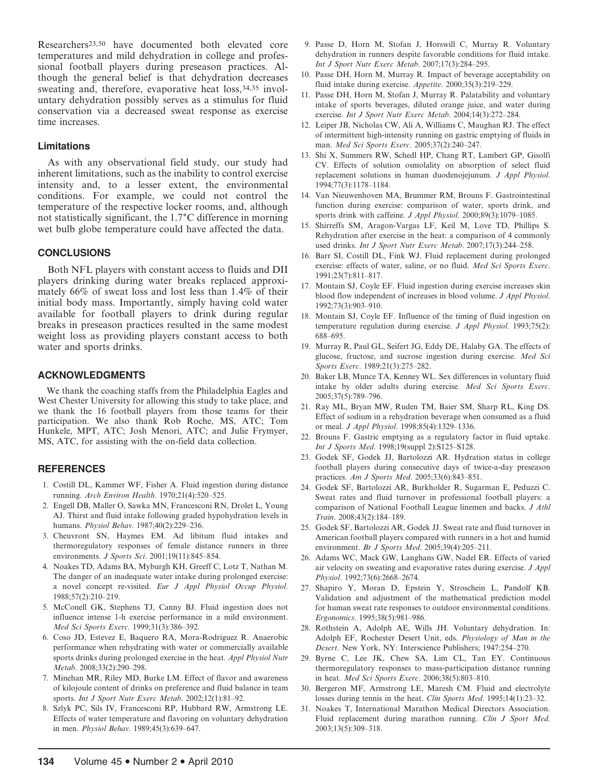Researchers23,50 have documented both elevated core temperatures and mild dehydration in college and professional football players during preseason practices. Although the general belief is that dehydration decreases sweating and, therefore, evaporative heat loss, 34, 35 involuntary dehydration possibly serves as a stimulus for fluid conservation via a decreased sweat response as exercise time increases.

#### Limitations

As with any observational field study, our study had inherent limitations, such as the inability to control exercise intensity and, to a lesser extent, the environmental conditions. For example, we could not control the temperature of the respective locker rooms, and, although not statistically significant, the  $1.7^{\circ}$ C difference in morning wet bulb globe temperature could have affected the data.

#### CONCLUSIONS

Both NFL players with constant access to fluids and DII players drinking during water breaks replaced approximately 66% of sweat loss and lost less than 1.4% of their initial body mass. Importantly, simply having cold water available for football players to drink during regular breaks in preseason practices resulted in the same modest weight loss as providing players constant access to both water and sports drinks.

#### ACKNOWLEDGMENTS

We thank the coaching staffs from the Philadelphia Eagles and West Chester University for allowing this study to take place, and we thank the 16 football players from those teams for their participation. We also thank Rob Roche, MS, ATC; Tom Hunkele, MPT, ATC; Josh Menori, ATC; and Julie Frymyer, MS, ATC, for assisting with the on-field data collection.

#### REFERENCES

- 1. Costill DL, Kammer WF, Fisher A. Fluid ingestion during distance running. Arch Environ Health. 1970;21(4):520–525.
- 2. Engell DB, Maller O, Sawka MN, Francesconi RN, Drolet L, Young AJ. Thirst and fluid intake following graded hypohydration levels in humans. Physiol Behav. 1987;40(2):229-236.
- 3. Cheuvront SN, Haymes EM. Ad libitum fluid intakes and thermoregulatory responses of female distance runners in three environments. J Sports Sci. 2001;19(11):845-854.
- 4. Noakes TD, Adams BA, Myburgh KH, Greeff C, Lotz T, Nathan M. The danger of an inadequate water intake during prolonged exercise: a novel concept re-visited. Eur J Appl Physiol Occup Physiol. 1988;57(2):210–219.
- 5. McConell GK, Stephens TJ, Canny BJ. Fluid ingestion does not influence intense 1-h exercise performance in a mild environment. Med Sci Sports Exerc. 1999;31(3):386–392.
- 6. Coso JD, Estevez E, Baquero RA, Mora-Rodriguez R. Anaerobic performance when rehydrating with water or commercially available sports drinks during prolonged exercise in the heat. Appl Physiol Nutr Metab. 2008;33(2):290–298.
- 7. Minehan MR, Riley MD, Burke LM. Effect of flavor and awareness of kilojoule content of drinks on preference and fluid balance in team sports. Int J Sport Nutr Exerc Metab. 2002;12(1):81-92.
- 8. Szlyk PC, Sils IV, Francesconi RP, Hubbard RW, Armstrong LE. Effects of water temperature and flavoring on voluntary dehydration in men. Physiol Behav. 1989;45(3):639–647.
- 9. Passe D, Horn M, Stofan J, Horswill C, Murray R. Voluntary dehydration in runners despite favorable conditions for fluid intake. Int J Sport Nutr Exerc Metab. 2007;17(3):284–295.
- 10. Passe DH, Horn M, Murray R. Impact of beverage acceptability on fluid intake during exercise. Appetite. 2000;35(3):219–229.
- 11. Passe DH, Horn M, Stofan J, Murray R. Palatability and voluntary intake of sports beverages, diluted orange juice, and water during exercise. Int J Sport Nutr Exerc Metab. 2004;14(3):272–284.
- 12. Leiper JB, Nicholas CW, Ali A, Williams C, Maughan RJ. The effect of intermittent high-intensity running on gastric emptying of fluids in man. Med Sci Sports Exerc. 2005;37(2):240–247.
- 13. Shi X, Summers RW, Schedl HP, Chang RT, Lambert GP, Gisolfi CV. Effects of solution osmolality on absorption of select fluid replacement solutions in human duodenojejunum. J Appl Physiol. 1994;77(3):1178–1184.
- 14. Van Nieuwenhoven MA, Brummer RM, Brouns F. Gastrointestinal function during exercise: comparison of water, sports drink, and sports drink with caffeine. J Appl Physiol. 2000;89(3):1079–1085.
- 15. Shirreffs SM, Aragon-Vargas LF, Keil M, Love TD, Phillips S. Rehydration after exercise in the heat: a comparison of 4 commonly used drinks. Int J Sport Nutr Exerc Metab. 2007;17(3):244–258.
- 16. Barr SI, Costill DL, Fink WJ. Fluid replacement during prolonged exercise: effects of water, saline, or no fluid. Med Sci Sports Exerc. 1991;23(7):811–817.
- 17. Montain SJ, Coyle EF. Fluid ingestion during exercise increases skin blood flow independent of increases in blood volume. J Appl Physiol. 1992;73(3):903–910.
- 18. Montain SJ, Coyle EF. Influence of the timing of fluid ingestion on temperature regulation during exercise. J Appl Physiol. 1993;75(2): 688–695.
- 19. Murray R, Paul GL, Seifert JG, Eddy DE, Halaby GA. The effects of glucose, fructose, and sucrose ingestion during exercise. Med Sci Sports Exerc. 1989;21(3):275–282.
- 20. Baker LB, Munce TA, Kenney WL. Sex differences in voluntary fluid intake by older adults during exercise. Med Sci Sports Exerc. 2005;37(5):789–796.
- 21. Ray ML, Bryan MW, Ruden TM, Baier SM, Sharp RL, King DS. Effect of sodium in a rehydration beverage when consumed as a fluid or meal. J Appl Physiol. 1998;85(4):1329–1336.
- 22. Brouns F. Gastric emptying as a regulatory factor in fluid uptake. Int J Sports Med. 1998;19(suppl 2):S125–S128.
- 23. Godek SF, Godek JJ, Bartolozzi AR. Hydration status in college football players during consecutive days of twice-a-day preseason practices. Am J Sports Med. 2005;33(6):843–851.
- 24. Godek SF, Bartolozzi AR, Burkholder R, Sugarman E, Peduzzi C. Sweat rates and fluid turnover in professional football players: a comparison of National Football League linemen and backs. J Athl Train. 2008;43(2):184–189.
- 25. Godek SF, Bartolozzi AR, Godek JJ. Sweat rate and fluid turnover in American football players compared with runners in a hot and humid environment. *Br J Sports Med.* 2005;39(4):205-211.
- 26. Adams WC, Mack GW, Langhans GW, Nadel ER. Effects of varied air velocity on sweating and evaporative rates during exercise. J Appl Physiol. 1992;73(6):2668–2674.
- 27. Shapiro Y, Moran D, Epstein Y, Stroschein L, Pandolf KB. Validation and adjustment of the mathematical prediction model for human sweat rate responses to outdoor environmental conditions. Ergonomics. 1995;38(5):981–986.
- 28. Rothstein A, Adolph AE, Wills JH. Voluntary dehydration. In: Adolph EF, Rochester Desert Unit, eds. Physiology of Man in the Desert. New York, NY: Interscience Publishers; 1947:254–270.
- 29. Byrne C, Lee JK, Chew SA, Lim CL, Tan EY. Continuous thermoregulatory responses to mass-participation distance running in heat. Med Sci Sports Exerc. 2006;38(5):803–810.
- 30. Bergeron MF, Armstrong LE, Maresh CM. Fluid and electrolyte losses during tennis in the heat. Clin Sports Med. 1995;14(1):23–32.
- 31. Noakes T, International Marathon Medical Directors Association. Fluid replacement during marathon running. Clin J Sport Med. 2003;13(5):309–318.